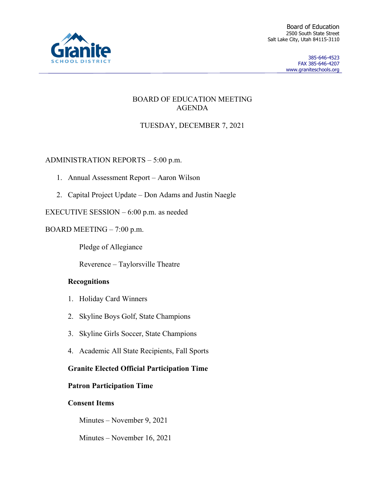

385-646-4523 FAX 385-646-4207 www.graniteschools.org

## BOARD OF EDUCATION MEETING AGENDA

# TUESDAY, DECEMBER 7, 2021

## ADMINISTRATION REPORTS – 5:00 p.m.

- 1. Annual Assessment Report Aaron Wilson
- 2. Capital Project Update Don Adams and Justin Naegle

EXECUTIVE SESSION – 6:00 p.m. as needed

## BOARD MEETING – 7:00 p.m.

Pledge of Allegiance

Reverence – Taylorsville Theatre

## **Recognitions**

- 1. Holiday Card Winners
- 2. Skyline Boys Golf, State Champions
- 3. Skyline Girls Soccer, State Champions
- 4. Academic All State Recipients, Fall Sports

## **Granite Elected Official Participation Time**

## **Patron Participation Time**

## **Consent Items**

Minutes – November 9, 2021

Minutes – November 16, 2021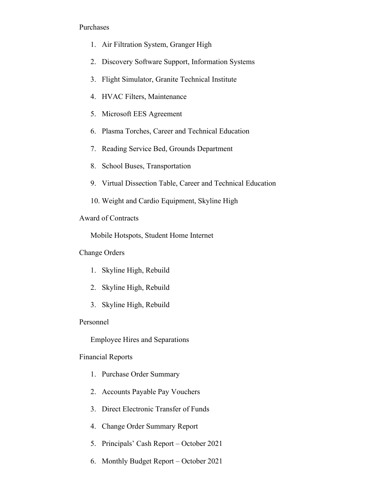#### Purchases

- 1. Air Filtration System, Granger High
- 2. Discovery Software Support, Information Systems
- 3. Flight Simulator, Granite Technical Institute
- 4. HVAC Filters, Maintenance
- 5. Microsoft EES Agreement
- 6. Plasma Torches, Career and Technical Education
- 7. Reading Service Bed, Grounds Department
- 8. School Buses, Transportation
- 9. Virtual Dissection Table, Career and Technical Education
- 10. Weight and Cardio Equipment, Skyline High

#### Award of Contracts

Mobile Hotspots, Student Home Internet

Change Orders

- 1. Skyline High, Rebuild
- 2. Skyline High, Rebuild
- 3. Skyline High, Rebuild

#### Personnel

Employee Hires and Separations

#### Financial Reports

- 1. Purchase Order Summary
- 2. Accounts Payable Pay Vouchers
- 3. Direct Electronic Transfer of Funds
- 4. Change Order Summary Report
- 5. Principals' Cash Report October 2021
- 6. Monthly Budget Report October 2021